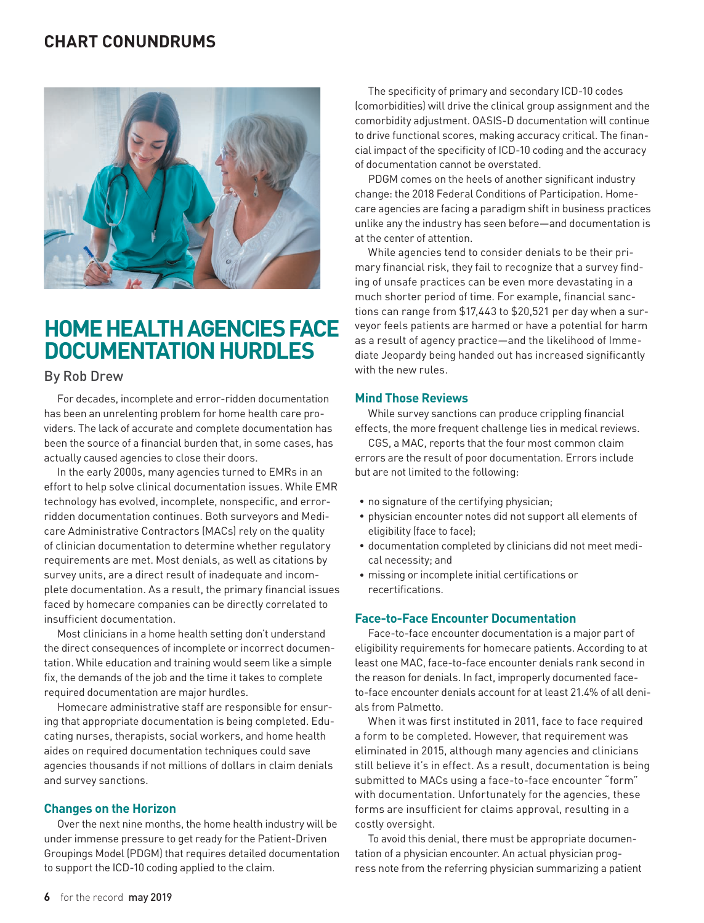# **CHART CONUNDRUMS**



# **HOME HEALTH AGENCIES FACE DOCUMENTATION HURDLES**

# By Rob Drew

For decades, incomplete and error-ridden documentation has been an unrelenting problem for home health care providers. The lack of accurate and complete documentation has been the source of a financial burden that, in some cases, has actually caused agencies to close their doors.

In the early 2000s, many agencies turned to EMRs in an effort to help solve clinical documentation issues. While EMR technology has evolved, incomplete, nonspecific, and errorridden documentation continues. Both surveyors and Medicare Administrative Contractors (MACs) rely on the quality of clinician documentation to determine whether regulatory requirements are met. Most denials, as well as citations by survey units, are a direct result of inadequate and incomplete documentation. As a result, the primary financial issues faced by homecare companies can be directly correlated to insufficient documentation.

Most clinicians in a home health setting don't understand the direct consequences of incomplete or incorrect documentation. While education and training would seem like a simple fix, the demands of the job and the time it takes to complete required documentation are major hurdles.

Homecare administrative staff are responsible for ensuring that appropriate documentation is being completed. Educating nurses, therapists, social workers, and home health aides on required documentation techniques could save agencies thousands if not millions of dollars in claim denials and survey sanctions.

# **Changes on the Horizon**

Over the next nine months, the home health industry will be under immense pressure to get ready for the Patient-Driven Groupings Model (PDGM) that requires detailed documentation to support the ICD-10 coding applied to the claim.

The specificity of primary and secondary ICD-10 codes (comorbidities) will drive the clinical group assignment and the comorbidity adjustment. OASIS-D documentation will continue to drive functional scores, making accuracy critical. The financial impact of the specificity of ICD-10 coding and the accuracy of documentation cannot be overstated.

PDGM comes on the heels of another significant industry change: the 2018 Federal Conditions of Participation. Homecare agencies are facing a paradigm shift in business practices unlike any the industry has seen before—and documentation is at the center of attention.

While agencies tend to consider denials to be their primary financial risk, they fail to recognize that a survey finding of unsafe practices can be even more devastating in a much shorter period of time. For example, financial sanctions can range from \$17,443 to \$20,521 per day when a surveyor feels patients are harmed or have a potential for harm as a result of agency practice—and the likelihood of Immediate Jeopardy being handed out has increased significantly with the new rules.

### **Mind Those Reviews**

While survey sanctions can produce crippling financial effects, the more frequent challenge lies in medical reviews.

CGS, a MAC, reports that the four most common claim errors are the result of poor documentation. Errors include but are not limited to the following:

- no signature of the certifying physician;
- physician encounter notes did not support all elements of eligibility (face to face);
- documentation completed by clinicians did not meet medical necessity; and
- missing or incomplete initial certifications or recertifications.

#### **Face-to-Face Encounter Documentation**

Face-to-face encounter documentation is a major part of eligibility requirements for homecare patients. According to at least one MAC, face-to-face encounter denials rank second in the reason for denials. In fact, improperly documented faceto-face encounter denials account for at least 21.4% of all denials from Palmetto.

When it was first instituted in 2011, face to face required a form to be completed. However, that requirement was eliminated in 2015, although many agencies and clinicians still believe it's in effect. As a result, documentation is being submitted to MACs using a face-to-face encounter "form" with documentation. Unfortunately for the agencies, these forms are insufficient for claims approval, resulting in a costly oversight.

To avoid this denial, there must be appropriate documentation of a physician encounter. An actual physician progress note from the referring physician summarizing a patient